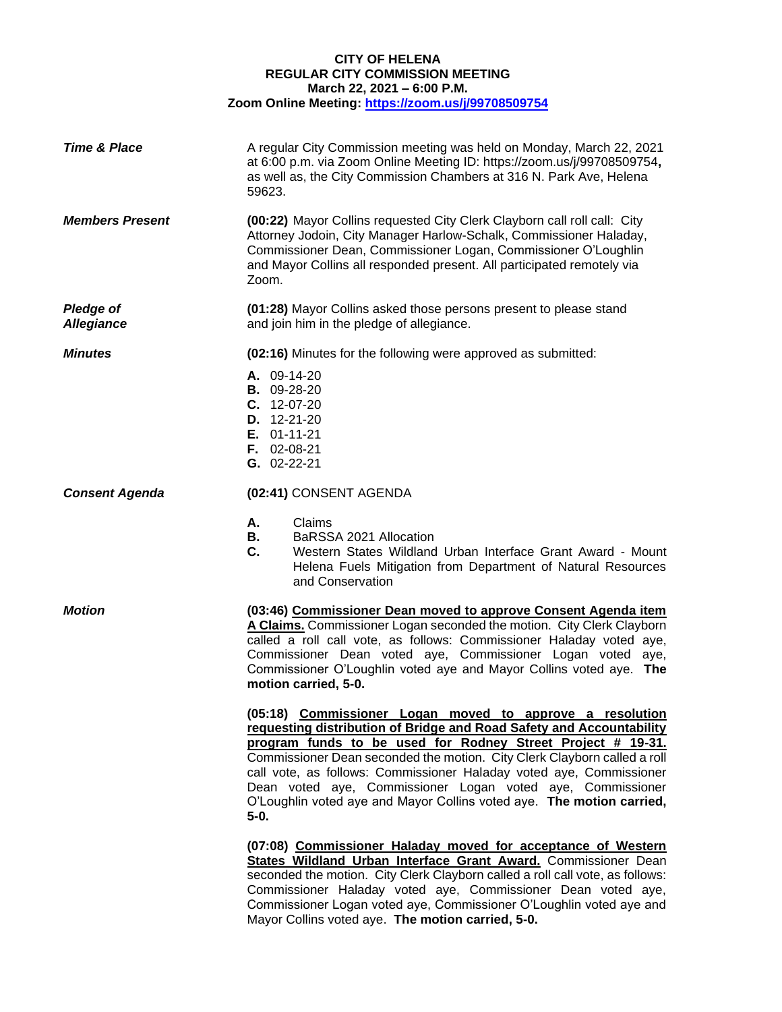## **CITY OF HELENA REGULAR CITY COMMISSION MEETING March 22, 2021 – 6:00 P.M. Zoom Online Meeting:<https://zoom.us/j/99708509754>**

| <b>Time &amp; Place</b>               | A regular City Commission meeting was held on Monday, March 22, 2021<br>at 6:00 p.m. via Zoom Online Meeting ID: https://zoom.us/j/99708509754,<br>as well as, the City Commission Chambers at 316 N. Park Ave, Helena<br>59623.                                                                                                                                                                                                                                                                    |
|---------------------------------------|-----------------------------------------------------------------------------------------------------------------------------------------------------------------------------------------------------------------------------------------------------------------------------------------------------------------------------------------------------------------------------------------------------------------------------------------------------------------------------------------------------|
| <b>Members Present</b>                | (00:22) Mayor Collins requested City Clerk Clayborn call roll call: City<br>Attorney Jodoin, City Manager Harlow-Schalk, Commissioner Haladay,<br>Commissioner Dean, Commissioner Logan, Commissioner O'Loughlin<br>and Mayor Collins all responded present. All participated remotely via<br>Zoom.                                                                                                                                                                                                 |
| <b>Pledge of</b><br><b>Allegiance</b> | (01:28) Mayor Collins asked those persons present to please stand<br>and join him in the pledge of allegiance.                                                                                                                                                                                                                                                                                                                                                                                      |
| <b>Minutes</b>                        | (02:16) Minutes for the following were approved as submitted:                                                                                                                                                                                                                                                                                                                                                                                                                                       |
|                                       | A. 09-14-20<br><b>B.</b> 09-28-20<br>$C. 12-07-20$<br>D. 12-21-20<br>$E. 01-11-21$<br>$F. 02-08-21$<br>G. 02-22-21                                                                                                                                                                                                                                                                                                                                                                                  |
| <b>Consent Agenda</b>                 | (02:41) CONSENT AGENDA                                                                                                                                                                                                                                                                                                                                                                                                                                                                              |
|                                       | Claims<br>А.<br>В.<br>BaRSSA 2021 Allocation<br>C.<br>Western States Wildland Urban Interface Grant Award - Mount<br>Helena Fuels Mitigation from Department of Natural Resources<br>and Conservation                                                                                                                                                                                                                                                                                               |
| <b>Motion</b>                         | (03:46) Commissioner Dean moved to approve Consent Agenda item<br>A Claims. Commissioner Logan seconded the motion. City Clerk Clayborn<br>called a roll call vote, as follows: Commissioner Haladay voted aye,<br>Commissioner Dean voted aye, Commissioner Logan voted<br>ave,<br>Commissioner O'Loughlin voted aye and Mayor Collins voted aye. The<br>motion carried, 5-0.                                                                                                                      |
|                                       | (05:18) Commissioner Logan moved to approve a resolution<br>requesting distribution of Bridge and Road Safety and Accountability<br>program funds to be used for Rodney Street Project # 19-31.<br>Commissioner Dean seconded the motion. City Clerk Clayborn called a roll<br>call vote, as follows: Commissioner Haladay voted aye, Commissioner<br>Dean voted aye, Commissioner Logan voted aye, Commissioner<br>O'Loughlin voted aye and Mayor Collins voted aye. The motion carried,<br>$5-0.$ |
|                                       | (07:08) Commissioner Haladay moved for acceptance of Western<br>States Wildland Urban Interface Grant Award. Commissioner Dean<br>seconded the motion. City Clerk Clayborn called a roll call vote, as follows:<br>Commissioner Haladay voted aye, Commissioner Dean voted aye,<br>Commissioner Logan voted aye, Commissioner O'Loughlin voted aye and<br>Mayor Collins voted aye. The motion carried, 5-0.                                                                                         |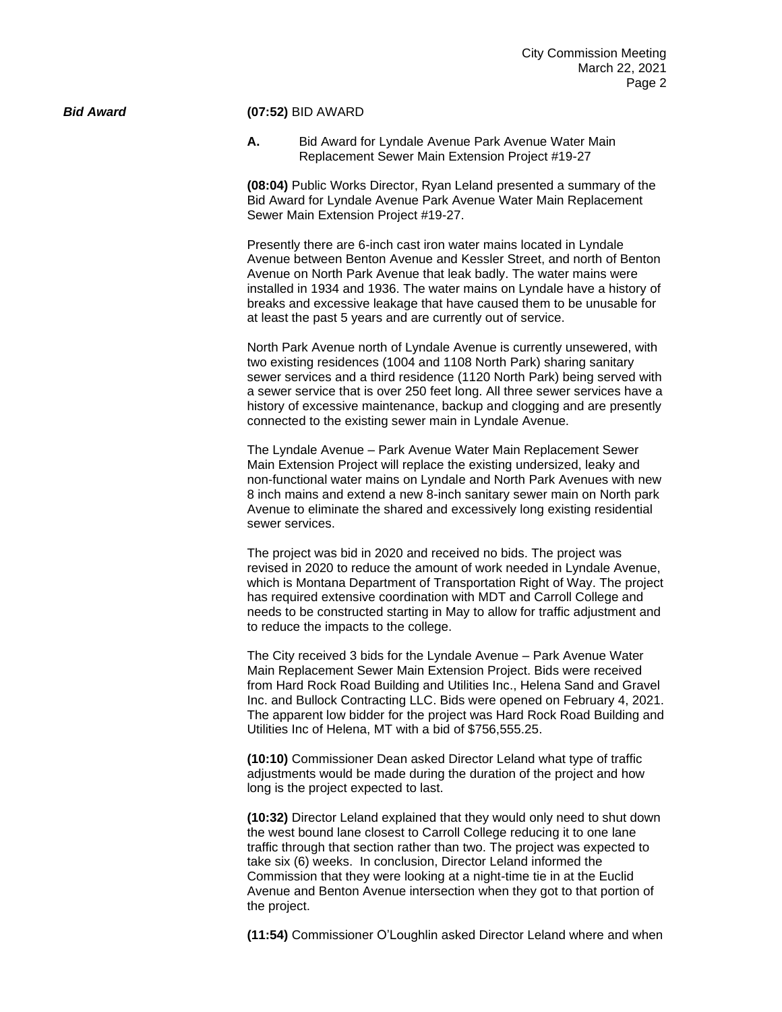### *Bid Award* **(07:52)** BID AWARD

**A.** Bid Award for Lyndale Avenue Park Avenue Water Main Replacement Sewer Main Extension Project #19-27

**(08:04)** Public Works Director, Ryan Leland presented a summary of the Bid Award for Lyndale Avenue Park Avenue Water Main Replacement Sewer Main Extension Project #19-27.

Presently there are 6-inch cast iron water mains located in Lyndale Avenue between Benton Avenue and Kessler Street, and north of Benton Avenue on North Park Avenue that leak badly. The water mains were installed in 1934 and 1936. The water mains on Lyndale have a history of breaks and excessive leakage that have caused them to be unusable for at least the past 5 years and are currently out of service.

North Park Avenue north of Lyndale Avenue is currently unsewered, with two existing residences (1004 and 1108 North Park) sharing sanitary sewer services and a third residence (1120 North Park) being served with a sewer service that is over 250 feet long. All three sewer services have a history of excessive maintenance, backup and clogging and are presently connected to the existing sewer main in Lyndale Avenue.

The Lyndale Avenue – Park Avenue Water Main Replacement Sewer Main Extension Project will replace the existing undersized, leaky and non-functional water mains on Lyndale and North Park Avenues with new 8 inch mains and extend a new 8-inch sanitary sewer main on North park Avenue to eliminate the shared and excessively long existing residential sewer services.

The project was bid in 2020 and received no bids. The project was revised in 2020 to reduce the amount of work needed in Lyndale Avenue, which is Montana Department of Transportation Right of Way. The project has required extensive coordination with MDT and Carroll College and needs to be constructed starting in May to allow for traffic adjustment and to reduce the impacts to the college.

The City received 3 bids for the Lyndale Avenue – Park Avenue Water Main Replacement Sewer Main Extension Project. Bids were received from Hard Rock Road Building and Utilities Inc., Helena Sand and Gravel Inc. and Bullock Contracting LLC. Bids were opened on February 4, 2021. The apparent low bidder for the project was Hard Rock Road Building and Utilities Inc of Helena, MT with a bid of \$756,555.25.

**(10:10)** Commissioner Dean asked Director Leland what type of traffic adjustments would be made during the duration of the project and how long is the project expected to last.

**(10:32)** Director Leland explained that they would only need to shut down the west bound lane closest to Carroll College reducing it to one lane traffic through that section rather than two. The project was expected to take six (6) weeks. In conclusion, Director Leland informed the Commission that they were looking at a night-time tie in at the Euclid Avenue and Benton Avenue intersection when they got to that portion of the project.

**(11:54)** Commissioner O'Loughlin asked Director Leland where and when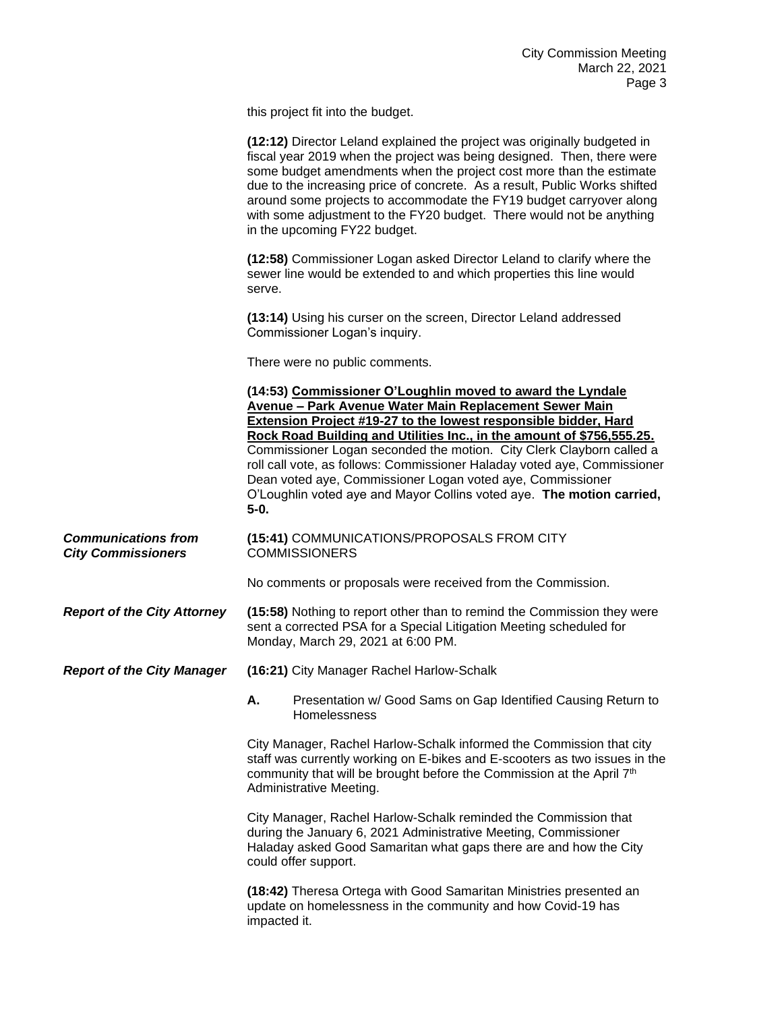this project fit into the budget.

|                                                         | (12:12) Director Leland explained the project was originally budgeted in<br>fiscal year 2019 when the project was being designed. Then, there were<br>some budget amendments when the project cost more than the estimate<br>due to the increasing price of concrete. As a result, Public Works shifted<br>around some projects to accommodate the FY19 budget carryover along<br>with some adjustment to the FY20 budget. There would not be anything<br>in the upcoming FY22 budget.                                                                                       |
|---------------------------------------------------------|------------------------------------------------------------------------------------------------------------------------------------------------------------------------------------------------------------------------------------------------------------------------------------------------------------------------------------------------------------------------------------------------------------------------------------------------------------------------------------------------------------------------------------------------------------------------------|
|                                                         | (12:58) Commissioner Logan asked Director Leland to clarify where the<br>sewer line would be extended to and which properties this line would<br>serve.                                                                                                                                                                                                                                                                                                                                                                                                                      |
|                                                         | (13:14) Using his curser on the screen, Director Leland addressed<br>Commissioner Logan's inquiry.                                                                                                                                                                                                                                                                                                                                                                                                                                                                           |
|                                                         | There were no public comments.                                                                                                                                                                                                                                                                                                                                                                                                                                                                                                                                               |
|                                                         | (14:53) Commissioner O'Loughlin moved to award the Lyndale<br>Avenue - Park Avenue Water Main Replacement Sewer Main<br><b>Extension Project #19-27 to the lowest responsible bidder, Hard</b><br>Rock Road Building and Utilities Inc., in the amount of \$756,555.25.<br>Commissioner Logan seconded the motion. City Clerk Clayborn called a<br>roll call vote, as follows: Commissioner Haladay voted aye, Commissioner<br>Dean voted aye, Commissioner Logan voted aye, Commissioner<br>O'Loughlin voted aye and Mayor Collins voted aye. The motion carried,<br>$5-0.$ |
| <b>Communications from</b><br><b>City Commissioners</b> | (15:41) COMMUNICATIONS/PROPOSALS FROM CITY<br><b>COMMISSIONERS</b>                                                                                                                                                                                                                                                                                                                                                                                                                                                                                                           |
|                                                         | No comments or proposals were received from the Commission.                                                                                                                                                                                                                                                                                                                                                                                                                                                                                                                  |
| <b>Report of the City Attorney</b>                      | (15:58) Nothing to report other than to remind the Commission they were<br>sent a corrected PSA for a Special Litigation Meeting scheduled for<br>Monday, March 29, 2021 at 6:00 PM.                                                                                                                                                                                                                                                                                                                                                                                         |
| <b>Report of the City Manager</b>                       | (16:21) City Manager Rachel Harlow-Schalk                                                                                                                                                                                                                                                                                                                                                                                                                                                                                                                                    |
|                                                         | Presentation w/ Good Sams on Gap Identified Causing Return to<br>Α.<br>Homelessness                                                                                                                                                                                                                                                                                                                                                                                                                                                                                          |
|                                                         | City Manager, Rachel Harlow-Schalk informed the Commission that city<br>staff was currently working on E-bikes and E-scooters as two issues in the<br>community that will be brought before the Commission at the April 7 <sup>th</sup><br>Administrative Meeting.                                                                                                                                                                                                                                                                                                           |
|                                                         | City Manager, Rachel Harlow-Schalk reminded the Commission that<br>during the January 6, 2021 Administrative Meeting, Commissioner<br>Haladay asked Good Samaritan what gaps there are and how the City<br>could offer support.                                                                                                                                                                                                                                                                                                                                              |
|                                                         | (18:42) Theresa Ortega with Good Samaritan Ministries presented an<br>update on homelessness in the community and how Covid-19 has<br>impacted it.                                                                                                                                                                                                                                                                                                                                                                                                                           |
|                                                         |                                                                                                                                                                                                                                                                                                                                                                                                                                                                                                                                                                              |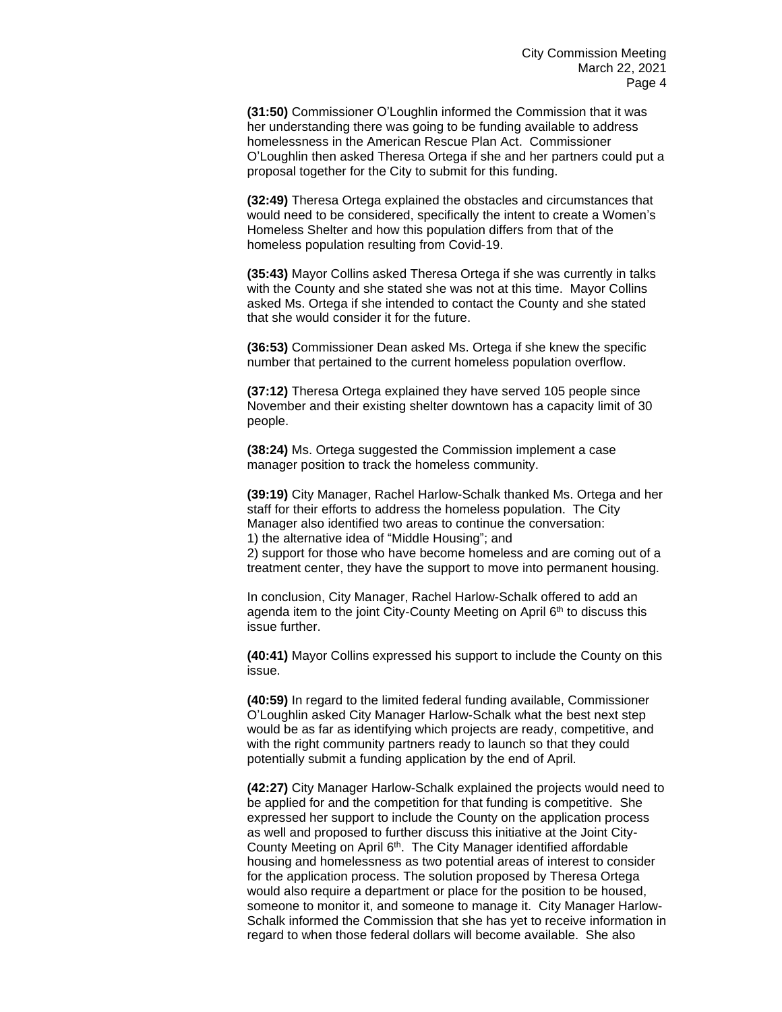**(31:50)** Commissioner O'Loughlin informed the Commission that it was her understanding there was going to be funding available to address homelessness in the American Rescue Plan Act. Commissioner O'Loughlin then asked Theresa Ortega if she and her partners could put a proposal together for the City to submit for this funding.

**(32:49)** Theresa Ortega explained the obstacles and circumstances that would need to be considered, specifically the intent to create a Women's Homeless Shelter and how this population differs from that of the homeless population resulting from Covid-19.

**(35:43)** Mayor Collins asked Theresa Ortega if she was currently in talks with the County and she stated she was not at this time. Mayor Collins asked Ms. Ortega if she intended to contact the County and she stated that she would consider it for the future.

**(36:53)** Commissioner Dean asked Ms. Ortega if she knew the specific number that pertained to the current homeless population overflow.

**(37:12)** Theresa Ortega explained they have served 105 people since November and their existing shelter downtown has a capacity limit of 30 people.

**(38:24)** Ms. Ortega suggested the Commission implement a case manager position to track the homeless community.

**(39:19)** City Manager, Rachel Harlow-Schalk thanked Ms. Ortega and her staff for their efforts to address the homeless population. The City Manager also identified two areas to continue the conversation: 1) the alternative idea of "Middle Housing"; and

2) support for those who have become homeless and are coming out of a treatment center, they have the support to move into permanent housing.

In conclusion, City Manager, Rachel Harlow-Schalk offered to add an agenda item to the joint City-County Meeting on April 6<sup>th</sup> to discuss this issue further.

**(40:41)** Mayor Collins expressed his support to include the County on this issue.

**(40:59)** In regard to the limited federal funding available, Commissioner O'Loughlin asked City Manager Harlow-Schalk what the best next step would be as far as identifying which projects are ready, competitive, and with the right community partners ready to launch so that they could potentially submit a funding application by the end of April.

**(42:27)** City Manager Harlow-Schalk explained the projects would need to be applied for and the competition for that funding is competitive. She expressed her support to include the County on the application process as well and proposed to further discuss this initiative at the Joint City-County Meeting on April 6<sup>th</sup>. The City Manager identified affordable housing and homelessness as two potential areas of interest to consider for the application process. The solution proposed by Theresa Ortega would also require a department or place for the position to be housed, someone to monitor it, and someone to manage it. City Manager Harlow-Schalk informed the Commission that she has yet to receive information in regard to when those federal dollars will become available. She also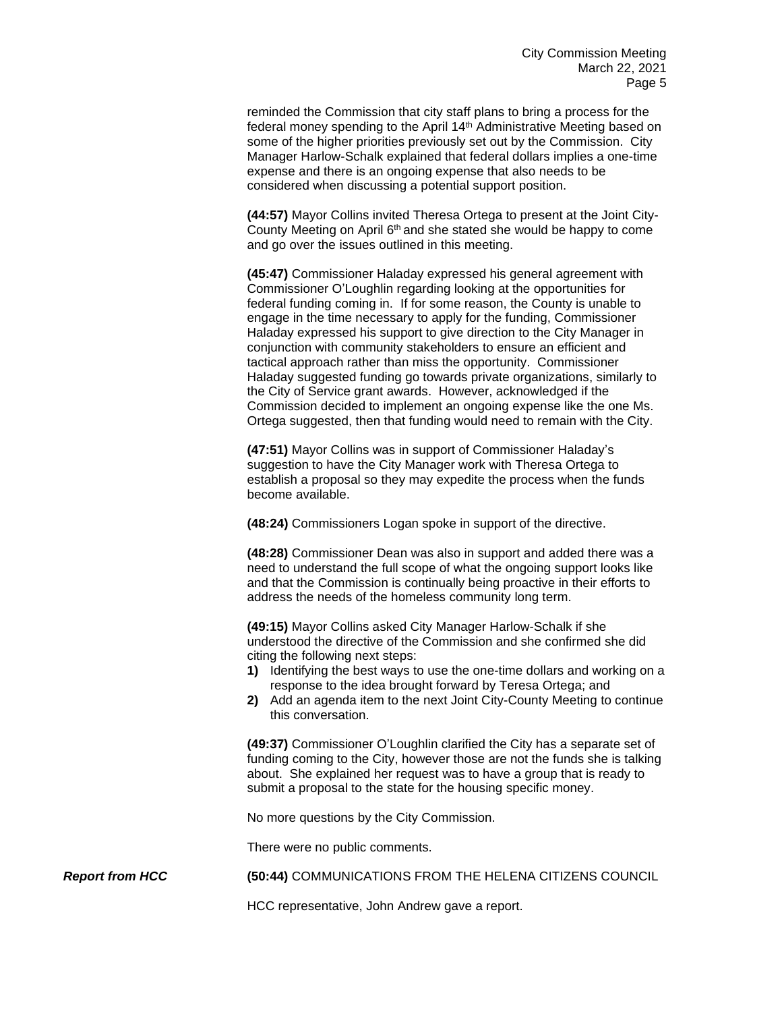reminded the Commission that city staff plans to bring a process for the federal money spending to the April 14<sup>th</sup> Administrative Meeting based on some of the higher priorities previously set out by the Commission. City Manager Harlow-Schalk explained that federal dollars implies a one-time expense and there is an ongoing expense that also needs to be considered when discussing a potential support position.

**(44:57)** Mayor Collins invited Theresa Ortega to present at the Joint City-County Meeting on April 6<sup>th</sup> and she stated she would be happy to come and go over the issues outlined in this meeting.

**(45:47)** Commissioner Haladay expressed his general agreement with Commissioner O'Loughlin regarding looking at the opportunities for federal funding coming in. If for some reason, the County is unable to engage in the time necessary to apply for the funding, Commissioner Haladay expressed his support to give direction to the City Manager in conjunction with community stakeholders to ensure an efficient and tactical approach rather than miss the opportunity. Commissioner Haladay suggested funding go towards private organizations, similarly to the City of Service grant awards. However, acknowledged if the Commission decided to implement an ongoing expense like the one Ms. Ortega suggested, then that funding would need to remain with the City.

**(47:51)** Mayor Collins was in support of Commissioner Haladay's suggestion to have the City Manager work with Theresa Ortega to establish a proposal so they may expedite the process when the funds become available.

**(48:24)** Commissioners Logan spoke in support of the directive.

**(48:28)** Commissioner Dean was also in support and added there was a need to understand the full scope of what the ongoing support looks like and that the Commission is continually being proactive in their efforts to address the needs of the homeless community long term.

**(49:15)** Mayor Collins asked City Manager Harlow-Schalk if she understood the directive of the Commission and she confirmed she did citing the following next steps:

- **1)** Identifying the best ways to use the one-time dollars and working on a response to the idea brought forward by Teresa Ortega; and
- **2)** Add an agenda item to the next Joint City-County Meeting to continue this conversation.

**(49:37)** Commissioner O'Loughlin clarified the City has a separate set of funding coming to the City, however those are not the funds she is talking about. She explained her request was to have a group that is ready to submit a proposal to the state for the housing specific money.

No more questions by the City Commission.

There were no public comments.

*Report from HCC* **(50:44)** COMMUNICATIONS FROM THE HELENA CITIZENS COUNCIL

HCC representative, John Andrew gave a report.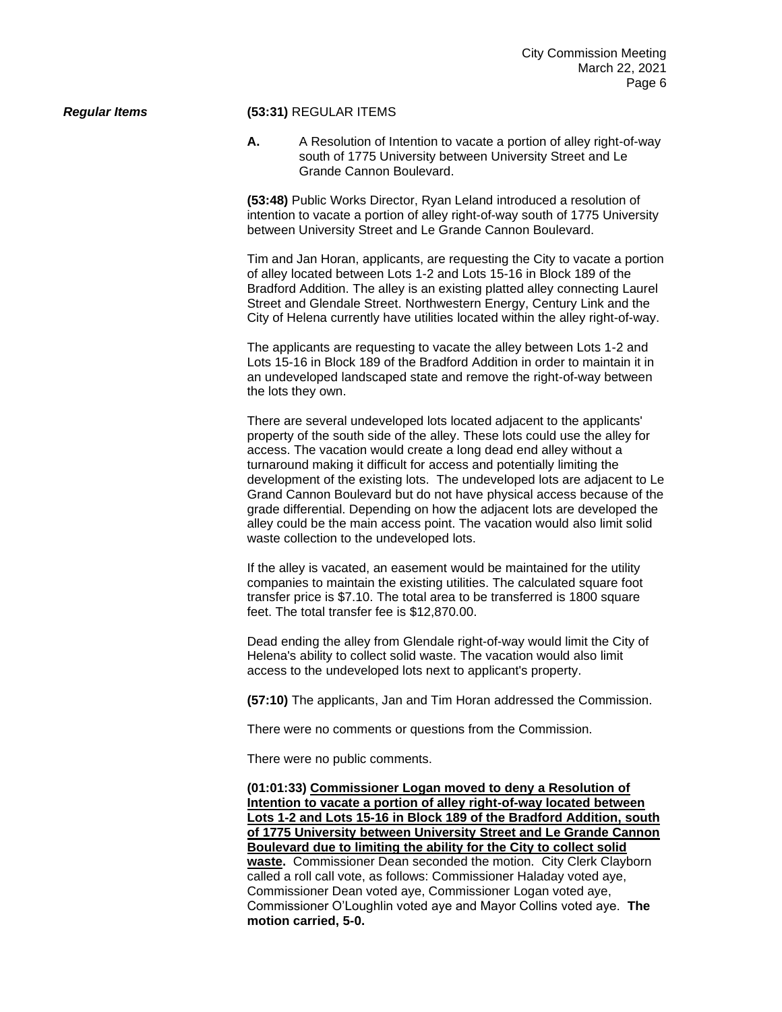## *Regular Items* **(53:31)** REGULAR ITEMS

**A.** A Resolution of Intention to vacate a portion of alley right-of-way south of 1775 University between University Street and Le Grande Cannon Boulevard.

**(53:48)** Public Works Director, Ryan Leland introduced a resolution of intention to vacate a portion of alley right-of-way south of 1775 University between University Street and Le Grande Cannon Boulevard.

Tim and Jan Horan, applicants, are requesting the City to vacate a portion of alley located between Lots 1-2 and Lots 15-16 in Block 189 of the Bradford Addition. The alley is an existing platted alley connecting Laurel Street and Glendale Street. Northwestern Energy, Century Link and the City of Helena currently have utilities located within the alley right-of-way.

The applicants are requesting to vacate the alley between Lots 1-2 and Lots 15-16 in Block 189 of the Bradford Addition in order to maintain it in an undeveloped landscaped state and remove the right-of-way between the lots they own.

There are several undeveloped lots located adjacent to the applicants' property of the south side of the alley. These lots could use the alley for access. The vacation would create a long dead end alley without a turnaround making it difficult for access and potentially limiting the development of the existing lots. The undeveloped lots are adjacent to Le Grand Cannon Boulevard but do not have physical access because of the grade differential. Depending on how the adjacent lots are developed the alley could be the main access point. The vacation would also limit solid waste collection to the undeveloped lots.

If the alley is vacated, an easement would be maintained for the utility companies to maintain the existing utilities. The calculated square foot transfer price is \$7.10. The total area to be transferred is 1800 square feet. The total transfer fee is \$12,870.00.

Dead ending the alley from Glendale right-of-way would limit the City of Helena's ability to collect solid waste. The vacation would also limit access to the undeveloped lots next to applicant's property.

**(57:10)** The applicants, Jan and Tim Horan addressed the Commission.

There were no comments or questions from the Commission.

There were no public comments.

**(01:01:33) Commissioner Logan moved to deny a Resolution of Intention to vacate a portion of alley right-of-way located between Lots 1-2 and Lots 15-16 in Block 189 of the Bradford Addition, south of 1775 University between University Street and Le Grande Cannon Boulevard due to limiting the ability for the City to collect solid waste.** Commissioner Dean seconded the motion. City Clerk Clayborn called a roll call vote, as follows: Commissioner Haladay voted aye, Commissioner Dean voted aye, Commissioner Logan voted aye, Commissioner O'Loughlin voted aye and Mayor Collins voted aye. **The motion carried, 5-0.**